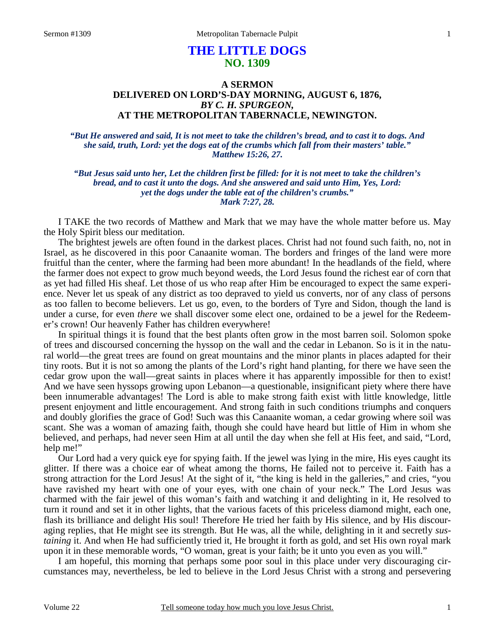# **THE LITTLE DOGS NO. 1309**

# **A SERMON DELIVERED ON LORD'S-DAY MORNING, AUGUST 6, 1876,**  *BY C. H. SPURGEON,*  **AT THE METROPOLITAN TABERNACLE, NEWINGTON.**

*"But He answered and said, It is not meet to take the children's bread, and to cast it to dogs. And she said, truth, Lord: yet the dogs eat of the crumbs which fall from their masters' table." Matthew 15:26, 27.* 

*"But Jesus said unto her, Let the children first be filled: for it is not meet to take the children's bread, and to cast it unto the dogs. And she answered and said unto Him, Yes, Lord: yet the dogs under the table eat of the children's crumbs." Mark 7:27, 28.* 

I TAKE the two records of Matthew and Mark that we may have the whole matter before us. May the Holy Spirit bless our meditation.

 The brightest jewels are often found in the darkest places. Christ had not found such faith, no, not in Israel, as he discovered in this poor Canaanite woman. The borders and fringes of the land were more fruitful than the center, where the farming had been more abundant! In the headlands of the field, where the farmer does not expect to grow much beyond weeds, the Lord Jesus found the richest ear of corn that as yet had filled His sheaf. Let those of us who reap after Him be encouraged to expect the same experience. Never let us speak of any district as too depraved to yield us converts, nor of any class of persons as too fallen to become believers. Let us go, even, to the borders of Tyre and Sidon, though the land is under a curse, for even *there* we shall discover some elect one, ordained to be a jewel for the Redeemer's crown! Our heavenly Father has children everywhere!

 In spiritual things it is found that the best plants often grow in the most barren soil. Solomon spoke of trees and discoursed concerning the hyssop on the wall and the cedar in Lebanon. So is it in the natural world—the great trees are found on great mountains and the minor plants in places adapted for their tiny roots. But it is not so among the plants of the Lord's right hand planting, for there we have seen the cedar grow upon the wall—great saints in places where it has apparently impossible for then to exist! And we have seen hyssops growing upon Lebanon—a questionable, insignificant piety where there have been innumerable advantages! The Lord is able to make strong faith exist with little knowledge, little present enjoyment and little encouragement. And strong faith in such conditions triumphs and conquers and doubly glorifies the grace of God! Such was this Canaanite woman, a cedar growing where soil was scant. She was a woman of amazing faith, though she could have heard but little of Him in whom she believed, and perhaps, had never seen Him at all until the day when she fell at His feet, and said, "Lord, help me!"

 Our Lord had a very quick eye for spying faith. If the jewel was lying in the mire, His eyes caught its glitter. If there was a choice ear of wheat among the thorns, He failed not to perceive it. Faith has a strong attraction for the Lord Jesus! At the sight of it, "the king is held in the galleries," and cries, "you have ravished my heart with one of your eyes, with one chain of your neck." The Lord Jesus was charmed with the fair jewel of this woman's faith and watching it and delighting in it, He resolved to turn it round and set it in other lights, that the various facets of this priceless diamond might, each one, flash its brilliance and delight His soul! Therefore He tried her faith by His silence, and by His discouraging replies, that He might see its strength. But He was, all the while, delighting in it and secretly *sustaining* it. And when He had sufficiently tried it, He brought it forth as gold, and set His own royal mark upon it in these memorable words, "O woman, great is your faith; be it unto you even as you will."

 I am hopeful, this morning that perhaps some poor soul in this place under very discouraging circumstances may, nevertheless, be led to believe in the Lord Jesus Christ with a strong and persevering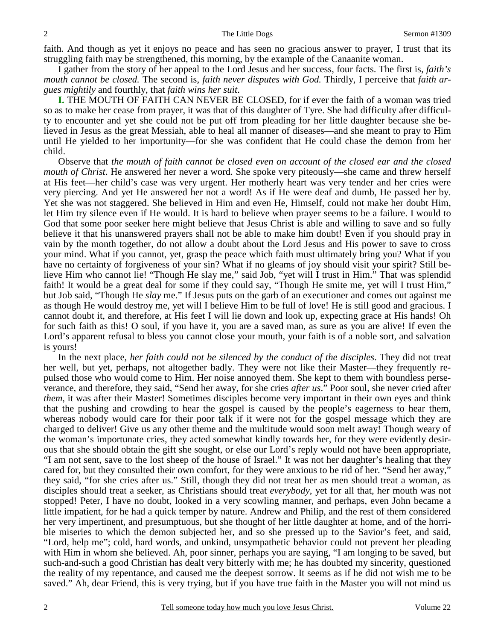faith. And though as yet it enjoys no peace and has seen no gracious answer to prayer, I trust that its struggling faith may be strengthened, this morning, by the example of the Canaanite woman.

 I gather from the story of her appeal to the Lord Jesus and her success, four facts. The first is, *faith's mouth cannot be closed.* The second is, *faith never disputes with God.* Thirdly, I perceive that *faith argues mightily* and fourthly, that *faith wins her suit*.

**I.** THE MOUTH OF FAITH CAN NEVER BE CLOSED, for if ever the faith of a woman was tried so as to make her cease from prayer, it was that of this daughter of Tyre. She had difficulty after difficulty to encounter and yet she could not be put off from pleading for her little daughter because she believed in Jesus as the great Messiah, able to heal all manner of diseases—and she meant to pray to Him until He yielded to her importunity—for she was confident that He could chase the demon from her child.

 Observe that *the mouth of faith cannot be closed even on account of the closed ear and the closed mouth of Christ*. He answered her never a word. She spoke very piteously—she came and threw herself at His feet—her child's case was very urgent. Her motherly heart was very tender and her cries were very piercing. And yet He answered her not a word! As if He were deaf and dumb, He passed her by. Yet she was not staggered. She believed in Him and even He, Himself, could not make her doubt Him, let Him try silence even if He would. It is hard to believe when prayer seems to be a failure. I would to God that some poor seeker here might believe that Jesus Christ is able and willing to save and so fully believe it that his unanswered prayers shall not be able to make him doubt! Even if you should pray in vain by the month together, do not allow a doubt about the Lord Jesus and His power to save to cross your mind. What if you cannot, yet, grasp the peace which faith must ultimately bring you? What if you have no certainty of forgiveness of your sin? What if no gleams of joy should visit your spirit? Still believe Him who cannot lie! "Though He slay me," said Job, "yet will I trust in Him." That was splendid faith! It would be a great deal for some if they could say, "Though He smite me, yet will I trust Him," but Job said, "Though He *slay* me." If Jesus puts on the garb of an executioner and comes out against me as though He would destroy me, yet will I believe Him to be full of love! He is still good and gracious. I cannot doubt it, and therefore, at His feet I will lie down and look up, expecting grace at His hands! Oh for such faith as this! O soul, if you have it, you are a saved man, as sure as you are alive! If even the Lord's apparent refusal to bless you cannot close your mouth, your faith is of a noble sort, and salvation is yours!

 In the next place, *her faith could not be silenced by the conduct of the disciples*. They did not treat her well, but yet, perhaps, not altogether badly. They were not like their Master—they frequently repulsed those who would come to Him. Her noise annoyed them. She kept to them with boundless perseverance, and therefore, they said, "Send her away, for she cries *after us*." Poor soul, she never cried after *them*, it was after their Master! Sometimes disciples become very important in their own eyes and think that the pushing and crowding to hear the gospel is caused by the people's eagerness to hear them, whereas nobody would care for their poor talk if it were not for the gospel message which they are charged to deliver! Give us any other theme and the multitude would soon melt away! Though weary of the woman's importunate cries, they acted somewhat kindly towards her, for they were evidently desirous that she should obtain the gift she sought, or else our Lord's reply would not have been appropriate, "I am not sent, save to the lost sheep of the house of Israel." It was not her daughter's healing that they cared for, but they consulted their own comfort, for they were anxious to be rid of her. "Send her away," they said, "for she cries after us." Still, though they did not treat her as men should treat a woman, as disciples should treat a seeker, as Christians should treat *everybody*, yet for all that, her mouth was not stopped! Peter, I have no doubt, looked in a very scowling manner, and perhaps, even John became a little impatient, for he had a quick temper by nature. Andrew and Philip, and the rest of them considered her very impertinent, and presumptuous, but she thought of her little daughter at home, and of the horrible miseries to which the demon subjected her, and so she pressed up to the Savior's feet, and said, "Lord, help me"; cold, hard words, and unkind, unsympathetic behavior could not prevent her pleading with Him in whom she believed. Ah, poor sinner, perhaps you are saying, "I am longing to be saved, but such-and-such a good Christian has dealt very bitterly with me; he has doubted my sincerity, questioned the reality of my repentance, and caused me the deepest sorrow. It seems as if he did not wish me to be saved." Ah, dear Friend, this is very trying, but if you have true faith in the Master you will not mind us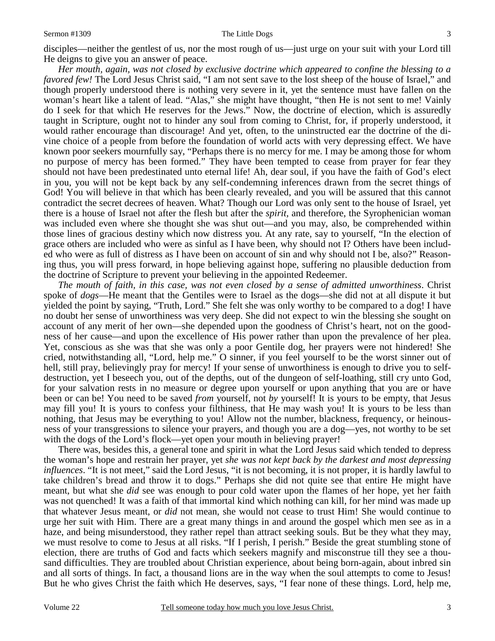#### Sermon #1309 The Little Dogs

*Her mouth, again, was not closed by exclusive doctrine which appeared to confine the blessing to a favored few!* The Lord Jesus Christ said, "I am not sent save to the lost sheep of the house of Israel," and though properly understood there is nothing very severe in it, yet the sentence must have fallen on the woman's heart like a talent of lead. "Alas," she might have thought, "then He is not sent to me! Vainly do I seek for that which He reserves for the Jews." Now, the doctrine of election, which is assuredly taught in Scripture, ought not to hinder any soul from coming to Christ, for, if properly understood, it would rather encourage than discourage! And yet, often, to the uninstructed ear the doctrine of the divine choice of a people from before the foundation of world acts with very depressing effect. We have known poor seekers mournfully say, "Perhaps there is no mercy for me. I may be among those for whom no purpose of mercy has been formed." They have been tempted to cease from prayer for fear they should not have been predestinated unto eternal life! Ah, dear soul, if you have the faith of God's elect in you, you will not be kept back by any self-condemning inferences drawn from the secret things of God! You will believe in that which has been clearly revealed, and you will be assured that this cannot contradict the secret decrees of heaven. What? Though our Lord was only sent to the house of Israel, yet there is a house of Israel not after the flesh but after the *spirit,* and therefore, the Syrophenician woman was included even where she thought she was shut out—and you may, also, be comprehended within those lines of gracious destiny which now distress you. At any rate, say to yourself, "In the election of grace others are included who were as sinful as I have been, why should not I? Others have been included who were as full of distress as I have been on account of sin and why should not I be, also?" Reasoning thus, you will press forward, in hope believing against hope, suffering no plausible deduction from the doctrine of Scripture to prevent your believing in the appointed Redeemer.

*The mouth of faith, in this case, was not even closed by a sense of admitted unworthiness*. Christ spoke of *dogs*—He meant that the Gentiles were to Israel as the dogs—she did not at all dispute it but yielded the point by saying, "Truth, Lord." She felt she was only worthy to be compared to a dog! I have no doubt her sense of unworthiness was very deep. She did not expect to win the blessing she sought on account of any merit of her own—she depended upon the goodness of Christ's heart, not on the goodness of her cause—and upon the excellence of His power rather than upon the prevalence of her plea. Yet, conscious as she was that she was only a poor Gentile dog, her prayers were not hindered! She cried, notwithstanding all, "Lord, help me." O sinner, if you feel yourself to be the worst sinner out of hell, still pray, believingly pray for mercy! If your sense of unworthiness is enough to drive you to selfdestruction, yet I beseech you, out of the depths, out of the dungeon of self-loathing, still cry unto God, for your salvation rests in no measure or degree upon yourself or upon anything that you are or have been or can be! You need to be saved *from* yourself, not *by* yourself! It is yours to be empty, that Jesus may fill you! It is yours to confess your filthiness, that He may wash you! It is yours to be less than nothing, that Jesus may be everything to you! Allow not the number, blackness, frequency, or heinousness of your transgressions to silence your prayers, and though you are a dog—yes, not worthy to be set with the dogs of the Lord's flock—yet open your mouth in believing prayer!

 There was, besides this, a general tone and spirit in what the Lord Jesus said which tended to depress the woman's hope and restrain her prayer, yet *she was not kept back by the darkest and most depressing influences*. "It is not meet," said the Lord Jesus, "it is not becoming, it is not proper, it is hardly lawful to take children's bread and throw it to dogs." Perhaps she did not quite see that entire He might have meant, but what she *did* see was enough to pour cold water upon the flames of her hope, yet her faith was not quenched! It was a faith of that immortal kind which nothing can kill, for her mind was made up that whatever Jesus meant, or *did* not mean, she would not cease to trust Him! She would continue to urge her suit with Him. There are a great many things in and around the gospel which men see as in a haze, and being misunderstood, they rather repel than attract seeking souls. But be they what they may, we must resolve to come to Jesus at all risks. "If I perish, I perish." Beside the great stumbling stone of election, there are truths of God and facts which seekers magnify and misconstrue till they see a thousand difficulties. They are troubled about Christian experience, about being born-again, about inbred sin and all sorts of things. In fact, a thousand lions are in the way when the soul attempts to come to Jesus! But he who gives Christ the faith which He deserves, says, "I fear none of these things. Lord, help me,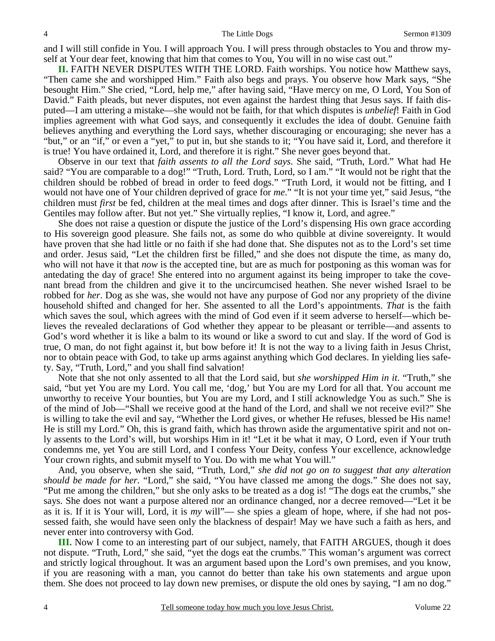and I will still confide in You. I will approach You. I will press through obstacles to You and throw myself at Your dear feet, knowing that him that comes to You, You will in no wise cast out."

**II.** FAITH NEVER DISPUTES WITH THE LORD. Faith worships. You notice how Matthew says, "Then came she and worshipped Him." Faith also begs and prays. You observe how Mark says, "She besought Him." She cried, "Lord, help me," after having said, "Have mercy on me, O Lord, You Son of David." Faith pleads, but never disputes, not even against the hardest thing that Jesus says. If faith disputed—I am uttering a mistake—she would not be faith, for that which disputes is *unbelief*! Faith in God implies agreement with what God says, and consequently it excludes the idea of doubt. Genuine faith believes anything and everything the Lord says, whether discouraging or encouraging; she never has a "but," or an "if," or even a "yet," to put in, but she stands to it; "You have said it, Lord, and therefore it is true! You have ordained it, Lord, and therefore it is right." She never goes beyond that.

 Observe in our text that *faith assents to all the Lord says*. She said, "Truth, Lord." What had He said? "You are comparable to a dog!" "Truth, Lord. Truth, Lord, so I am." "It would not be right that the children should be robbed of bread in order to feed dogs." "Truth Lord, it would not be fitting, and I would not have one of Your children deprived of grace for *me*." "It is not your time yet," said Jesus, "the children must *first* be fed, children at the meal times and dogs after dinner. This is Israel's time and the Gentiles may follow after. But not yet." She virtually replies, "I know it, Lord, and agree."

 She does not raise a question or dispute the justice of the Lord's dispensing His own grace according to His sovereign good pleasure. She fails not, as some do who quibble at divine sovereignty. It would have proven that she had little or no faith if she had done that. She disputes not as to the Lord's set time and order. Jesus said, "Let the children first be filled," and she does not dispute the time, as many do, who will not have it that *now* is the accepted tine, but are as much for postponing as this woman was for antedating the day of grace! She entered into no argument against its being improper to take the covenant bread from the children and give it to the uncircumcised heathen. She never wished Israel to be robbed for *her*. Dog as she was, she would not have any purpose of God nor any propriety of the divine household shifted and changed for her. She assented to all the Lord's appointments. *That* is the faith which saves the soul, which agrees with the mind of God even if it seem adverse to herself—which believes the revealed declarations of God whether they appear to be pleasant or terrible—and assents to God's word whether it is like a balm to its wound or like a sword to cut and slay. If the word of God is true, O man, do not fight against it, but bow before it! It is not the way to a living faith in Jesus Christ, nor to obtain peace with God, to take up arms against anything which God declares. In yielding lies safety. Say, "Truth, Lord," and you shall find salvation!

 Note that she not only assented to all that the Lord said, but *she worshipped Him in it*. "Truth," she said, "but yet You are my Lord. You call me, 'dog,' but You are my Lord for all that. You account me unworthy to receive Your bounties, but You are my Lord, and I still acknowledge You as such." She is of the mind of Job—"Shall we receive good at the hand of the Lord, and shall we not receive evil?" She is willing to take the evil and say, "Whether the Lord gives, or whether He refuses, blessed be His name! He is still my Lord." Oh, this is grand faith, which has thrown aside the argumentative spirit and not only assents to the Lord's will, but worships Him in it! "Let it be what it may, O Lord, even if Your truth condemns me, yet You are still Lord, and I confess Your Deity, confess Your excellence, acknowledge Your crown rights, and submit myself to You. Do with me what You will."

 And, you observe, when she said, "Truth, Lord," *she did not go on to suggest that any alteration should be made for her.* "Lord," she said, "You have classed me among the dogs." She does not say, "Put me among the children," but she only asks to be treated as a dog is! "The dogs eat the crumbs," she says. She does not want a purpose altered nor an ordinance changed, nor a decree removed—"Let it be as it is. If it is Your will, Lord, it is *my* will"— she spies a gleam of hope, where, if she had not possessed faith, she would have seen only the blackness of despair! May we have such a faith as hers, and never enter into controversy with God.

**III.** Now I come to an interesting part of our subject, namely, that FAITH ARGUES, though it does not dispute. "Truth, Lord," she said, "yet the dogs eat the crumbs." This woman's argument was correct and strictly logical throughout. It was an argument based upon the Lord's own premises, and you know, if you are reasoning with a man, you cannot do better than take his own statements and argue upon them. She does not proceed to lay down new premises, or dispute the old ones by saying, "I am no dog."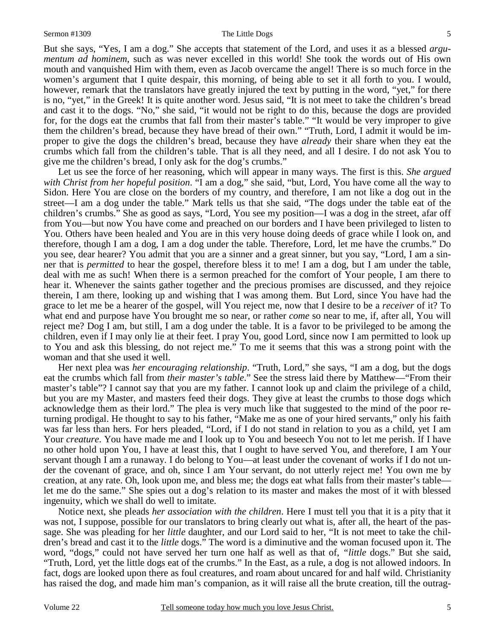But she says, "Yes, I am a dog." She accepts that statement of the Lord, and uses it as a blessed *argumentum ad hominem*, such as was never excelled in this world! She took the words out of His own mouth and vanquished Him with them, even as Jacob overcame the angel! There is so much force in the women's argument that I quite despair, this morning, of being able to set it all forth to you. I would, however, remark that the translators have greatly injured the text by putting in the word, "yet," for there is no, "yet," in the Greek! It is quite another word. Jesus said, "It is not meet to take the children's bread and cast it to the dogs. "No," she said, "it would not be right to do this, because the dogs are provided for, for the dogs eat the crumbs that fall from their master's table." "It would be very improper to give them the children's bread, because they have bread of their own." "Truth, Lord, I admit it would be improper to give the dogs the children's bread, because they have *already* their share when they eat the crumbs which fall from the children's table. That is all they need, and all I desire. I do not ask You to give me the children's bread, I only ask for the dog's crumbs."

 Let us see the force of her reasoning, which will appear in many ways. The first is this. *She argued with Christ from her hopeful position*. "I am a dog," she said, "but, Lord, You have come all the way to Sidon. Here You are close on the borders of my country, and therefore, I am not like a dog out in the street—I am a dog under the table." Mark tells us that she said, "The dogs under the table eat of the children's crumbs." She as good as says, "Lord, You see my position—I was a dog in the street, afar off from You—but now You have come and preached on our borders and I have been privileged to listen to You. Others have been healed and You are in this very house doing deeds of grace while I look on, and therefore, though I am a dog, I am a dog under the table. Therefore, Lord, let me have the crumbs." Do you see, dear hearer? You admit that you are a sinner and a great sinner, but you say, "Lord, I am a sinner that is *permitted* to hear the gospel, therefore bless it to me! I am a dog, but I am under the table, deal with me as such! When there is a sermon preached for the comfort of Your people, I am there to hear it. Whenever the saints gather together and the precious promises are discussed, and they rejoice therein, I am there, looking up and wishing that I was among them. But Lord, since You have had the grace to let me be a hearer of the gospel, will You reject me, now that I desire to be a *receiver* of it? To what end and purpose have You brought me so near, or rather *come* so near to me, if, after all, You will reject me? Dog I am, but still, I am a dog under the table. It is a favor to be privileged to be among the children, even if I may only lie at their feet. I pray You, good Lord, since now I am permitted to look up to You and ask this blessing, do not reject me." To me it seems that this was a strong point with the woman and that she used it well.

 Her next plea was *her encouraging relationship*. "Truth, Lord," she says, "I am a dog, but the dogs eat the crumbs which fall from *their master's table*." See the stress laid there by Matthew—"From their master's table"? I cannot say that you are my father. I cannot look up and claim the privilege of a child, but you are my Master, and masters feed their dogs. They give at least the crumbs to those dogs which acknowledge them as their lord." The plea is very much like that suggested to the mind of the poor returning prodigal. He thought to say to his father, "Make me as one of your hired servants," only his faith was far less than hers. For hers pleaded, "Lord, if I do not stand in relation to you as a child, yet I am Your *creature*. You have made me and I look up to You and beseech You not to let me perish. If I have no other hold upon You, I have at least this, that I ought to have served You, and therefore, I am Your servant though I am a runaway. I do belong to You—at least under the covenant of works if I do not under the covenant of grace, and oh, since I am Your servant, do not utterly reject me! You own me by creation, at any rate. Oh, look upon me, and bless me; the dogs eat what falls from their master's table let me do the same." She spies out a dog's relation to its master and makes the most of it with blessed ingenuity, which we shall do well to imitate.

 Notice next, she pleads *her association with the children*. Here I must tell you that it is a pity that it was not, I suppose, possible for our translators to bring clearly out what is, after all, the heart of the passage. She was pleading for her *little* daughter, and our Lord said to her, "It is not meet to take the children's bread and cast it to the *little* dogs." The word is a diminutive and the woman focused upon it. The word, "dogs," could not have served her turn one half as well as that of, *"little* dogs." But she said, "Truth, Lord, yet the little dogs eat of the crumbs." In the East, as a rule, a dog is not allowed indoors. In fact, dogs are looked upon there as foul creatures, and roam about uncared for and half wild. Christianity has raised the dog, and made him man's companion, as it will raise all the brute creation, till the outrag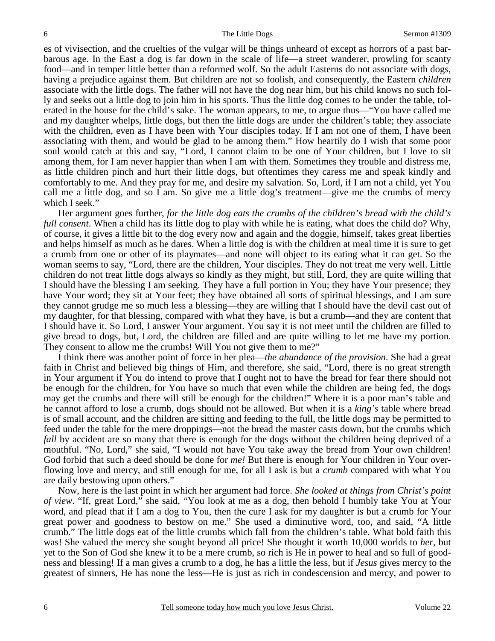es of vivisection, and the cruelties of the vulgar will be things unheard of except as horrors of a past barbarous age. In the East a dog is far down in the scale of life—a street wanderer, prowling for scanty food—and in temper little better than a reformed wolf. So the adult Easterns do not associate with dogs, having a prejudice against them. But children are not so foolish, and consequently, the Eastern *children* associate with the little dogs. The father will not have the dog near him, but his child knows no such folly and seeks out a little dog to join him in his sports. Thus the little dog comes to be under the table, tolerated in the house for the child's sake. The woman appears, to me, to argue thus—"You have called me and my daughter whelps, little dogs, but then the little dogs are under the children's table; they associate with the children, even as I have been with Your disciples today. If I am not one of them, I have been associating with them, and would be glad to be among them." How heartily do I wish that some poor soul would catch at this and say, "Lord, I cannot claim to be one of Your children, but I love to sit among them, for I am never happier than when I am with them. Sometimes they trouble and distress me, as little children pinch and hurt their little dogs, but oftentimes they caress me and speak kindly and comfortably to me. And they pray for me, and desire my salvation. So, Lord, if I am not a child, yet You call me a little dog, and so I am. So give me a little dog's treatment—give me the crumbs of mercy which I seek."

 Her argument goes further, *for the little dog eats the crumbs of the children's bread with the child's full consent*. When a child has its little dog to play with while he is eating, what does the child do? Why, of course, it gives a little bit to the dog every now and again and the doggie, himself, takes great liberties and helps himself as much as he dares. When a little dog is with the children at meal time it is sure to get a crumb from one or other of its playmates—and none will object to its eating what it can get. So the woman seems to say, "Lord, there are the children, Your disciples. They do not treat me very well. Little children do not treat little dogs always so kindly as they might, but still, Lord, they are quite willing that I should have the blessing I am seeking. They have a full portion in You; they have Your presence; they have Your word; they sit at Your feet; they have obtained all sorts of spiritual blessings, and I am sure they cannot grudge me so much less a blessing—they are willing that I should have the devil cast out of my daughter, for that blessing, compared with what they have, is but a crumb—and they are content that I should have it. So Lord, I answer Your argument. You say it is not meet until the children are filled to give bread to dogs, but, Lord, the children are filled and are quite willing to let me have my portion. They consent to allow me the crumbs! Will You not give them to me?"

 I think there was another point of force in her plea—*the abundance of the provision*. She had a great faith in Christ and believed big things of Him, and therefore, she said, "Lord, there is no great strength in Your argument if You do intend to prove that I ought not to have the bread for fear there should not be enough for the children, for You have so much that even while the children are being fed, the dogs may get the crumbs and there will still be enough for the children!" Where it is a poor man's table and he cannot afford to lose a crumb, dogs should not be allowed. But when it is a *king's* table where bread is of small account, and the children are sitting and feeding to the full, the little dogs may be permitted to feed under the table for the mere droppings—not the bread the master casts down, but the crumbs which *fall* by accident are so many that there is enough for the dogs without the children being deprived of a mouthful. "No, Lord," she said, "I would not have You take away the bread from Your own children! God forbid that such a deed should be done for *me!* But there is enough for Your children in Your overflowing love and mercy, and still enough for me, for all I ask is but a *crumb* compared with what You are daily bestowing upon others."

 Now, here is the last point in which her argument had force. *She looked at things from Christ's point of view*. "If, great Lord," she said, "You look at me as a dog, then behold I humbly take You at Your word, and plead that if I am a dog to You, then the cure I ask for my daughter is but a crumb for Your great power and goodness to bestow on me." She used a diminutive word, too, and said, "A little crumb." The little dogs eat of the little crumbs which fall from the children's table. What bold faith this was! She valued the mercy she sought beyond all price! She thought it worth 10,000 worlds to *her*, but yet to the Son of God she knew it to be a mere crumb, so rich is He in power to heal and so full of goodness and blessing! If a man gives a crumb to a dog, he has a little the less, but if *Jesus* gives mercy to the greatest of sinners, He has none the less—He is just as rich in condescension and mercy, and power to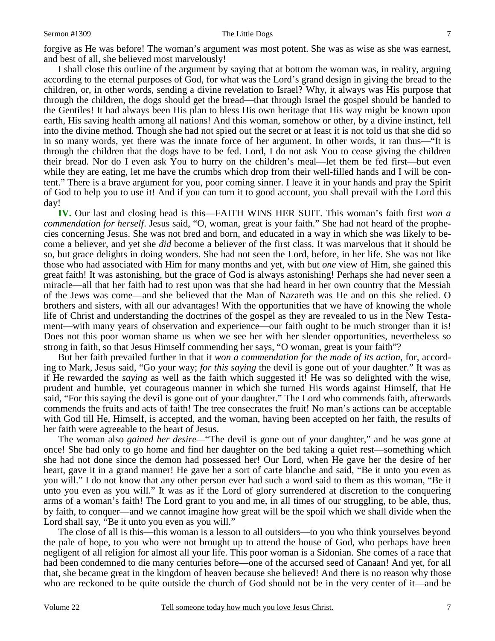#### Sermon #1309 The Little Dogs

forgive as He was before! The woman's argument was most potent. She was as wise as she was earnest, and best of all, she believed most marvelously!

 I shall close this outline of the argument by saying that at bottom the woman was, in reality, arguing according to the eternal purposes of God, for what was the Lord's grand design in giving the bread to the children, or, in other words, sending a divine revelation to Israel? Why, it always was His purpose that through the children, the dogs should get the bread—that through Israel the gospel should be handed to the Gentiles! It had always been His plan to bless His own heritage that His way might be known upon earth, His saving health among all nations! And this woman, somehow or other, by a divine instinct, fell into the divine method. Though she had not spied out the secret or at least it is not told us that she did so in so many words, yet there was the innate force of her argument. In other words, it ran thus—"It is through the children that the dogs have to be fed. Lord, I do not ask You to cease giving the children their bread. Nor do I even ask You to hurry on the children's meal—let them be fed first—but even while they are eating, let me have the crumbs which drop from their well-filled hands and I will be content." There is a brave argument for you, poor coming sinner. I leave it in your hands and pray the Spirit of God to help you to use it! And if you can turn it to good account, you shall prevail with the Lord this day!

**IV.** Our last and closing head is this—FAITH WINS HER SUIT. This woman's faith first *won a commendation for herself*. Jesus said, "O, woman, great is your faith." She had not heard of the prophecies concerning Jesus. She was not bred and born, and educated in a way in which she was likely to become a believer, and yet she *did* become a believer of the first class. It was marvelous that it should be so, but grace delights in doing wonders. She had not seen the Lord, before, in her life. She was not like those who had associated with Him for many months and yet, with but *one* view of Him, she gained this great faith! It was astonishing, but the grace of God is always astonishing! Perhaps she had never seen a miracle—all that her faith had to rest upon was that she had heard in her own country that the Messiah of the Jews was come—and she believed that the Man of Nazareth was He and on this she relied. O brothers and sisters, with all our advantages! With the opportunities that we have of knowing the whole life of Christ and understanding the doctrines of the gospel as they are revealed to us in the New Testament—with many years of observation and experience—our faith ought to be much stronger than it is! Does not this poor woman shame us when we see her with her slender opportunities, nevertheless so strong in faith, so that Jesus Himself commending her says, "O woman, great is your faith"?

 But her faith prevailed further in that it *won a commendation for the mode of its action*, for, according to Mark, Jesus said, "Go your way; *for this saying* the devil is gone out of your daughter." It was as if He rewarded the *saying* as well as the faith which suggested it! He was so delighted with the wise, prudent and humble, yet courageous manner in which she turned His words against Himself, that He said, "For this saying the devil is gone out of your daughter." The Lord who commends faith, afterwards commends the fruits and acts of faith! The tree consecrates the fruit! No man's actions can be acceptable with God till He, Himself, is accepted, and the woman, having been accepted on her faith, the results of her faith were agreeable to the heart of Jesus.

 The woman also *gained her desire—*"The devil is gone out of your daughter," and he was gone at once! She had only to go home and find her daughter on the bed taking a quiet rest—something which she had not done since the demon had possessed her! Our Lord, when He gave her the desire of her heart, gave it in a grand manner! He gave her a sort of carte blanche and said, "Be it unto you even as you will." I do not know that any other person ever had such a word said to them as this woman, "Be it unto you even as you will." It was as if the Lord of glory surrendered at discretion to the conquering arms of a woman's faith! The Lord grant to you and me, in all times of our struggling, to be able, thus, by faith, to conquer—and we cannot imagine how great will be the spoil which we shall divide when the Lord shall say, "Be it unto you even as you will."

 The close of all is this—this woman is a lesson to all outsiders—to you who think yourselves beyond the pale of hope, to you who were not brought up to attend the house of God, who perhaps have been negligent of all religion for almost all your life. This poor woman is a Sidonian. She comes of a race that had been condemned to die many centuries before—one of the accursed seed of Canaan! And yet, for all that, she became great in the kingdom of heaven because she believed! And there is no reason why those who are reckoned to be quite outside the church of God should not be in the very center of it—and be